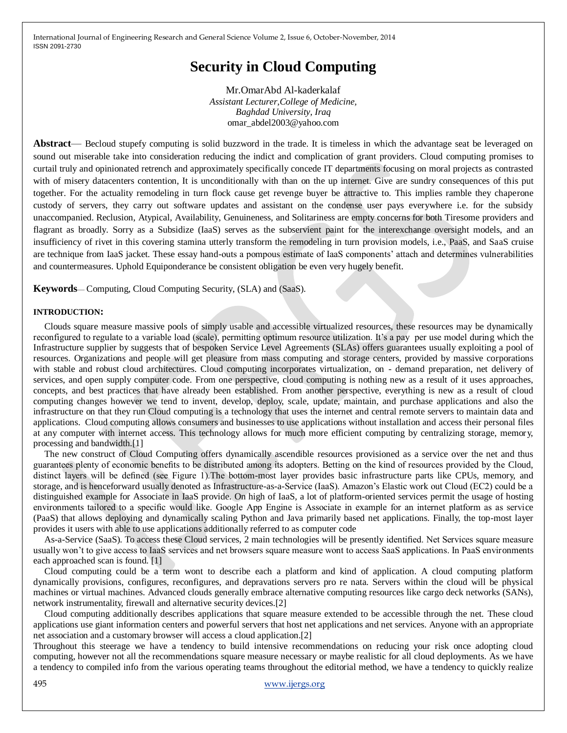# **Security in Cloud Computing**

Mr.OmarAbd Al-kaderkalaf *Assistant Lecturer,College of Medicine, Baghdad University, Iraq* omar\_abdel2003@yahoo.com

**Abstract**— Becloud stupefy computing is solid buzzword in the trade. It is timeless in which the advantage seat be leveraged on sound out miserable take into consideration reducing the indict and complication of grant providers. Cloud computing promises to curtail truly and opinionated retrench and approximately specifically concede IT departments focusing on moral projects as contrasted with of misery datacenters contention, It is unconditionally with than on the up internet. Give are sundry consequences of this put together. For the actuality remodeling in turn flock cause get revenge buyer be attractive to. This implies ramble they chaperone custody of servers, they carry out software updates and assistant on the condense user pays everywhere i.e. for the subsidy unaccompanied. Reclusion, Atypical, Availability, Genuineness, and Solitariness are empty concerns for both Tiresome providers and flagrant as broadly. Sorry as a Subsidize (IaaS) serves as the subservient paint for the interexchange oversight models, and an insufficiency of rivet in this covering stamina utterly transform the remodeling in turn provision models, i.e., PaaS, and SaaS cruise are technique from IaaS jacket. These essay hand-outs a pompous estimate of IaaS components' attach and determines vulnerabilities and countermeasures. Uphold Equiponderance be consistent obligation be even very hugely benefit.

**Keywords**— Computing, Cloud Computing Security, (SLA) and (SaaS).

#### **INTRODUCTION:**

Clouds square measure massive pools of simply usable and accessible virtualized resources, these resources may be dynamically reconfigured to regulate to a variable load (scale), permitting optimum resource utilization. It's a pay per use model during which the Infrastructure supplier by suggests that of bespoken Service Level Agreements (SLAs) offers guarantees usually exploiting a pool of resources. Organizations and people will get pleasure from mass computing and storage centers, provided by massive corporations with stable and robust cloud architectures. Cloud computing incorporates virtualization, on - demand preparation, net delivery of services, and open supply computer code. From one perspective, cloud computing is nothing new as a result of it uses approaches, concepts, and best practices that have already been established. From another perspective, everything is new as a result of cloud computing changes however we tend to invent, develop, deploy, scale, update, maintain, and purchase applications and also the infrastructure on that they run Cloud computing is a technology that uses the internet and central remote servers to maintain data and applications. Cloud computing allows consumers and businesses to use applications without installation and access their personal files at any computer with internet access. This technology allows for much more efficient computing by centralizing storage, memory, processing and bandwidth.[1]

The new construct of Cloud Computing offers dynamically ascendible resources provisioned as a service over the net and thus guarantees plenty of economic benefits to be distributed among its adopters. Betting on the kind of resources provided by the Cloud, distinct layers will be defined (see Figure 1).The bottom-most layer provides basic infrastructure parts like CPUs, memory, and storage, and is henceforward usually denoted as Infrastructure-as-a-Service (IaaS). Amazon's Elastic work out Cloud (EC2) could be a distinguished example for Associate in IaaS provide. On high of IaaS, a lot of platform-oriented services permit the usage of hosting environments tailored to a specific would like. Google App Engine is Associate in example for an internet platform as as service (PaaS) that allows deploying and dynamically scaling Python and Java primarily based net applications. Finally, the top-most layer provides it users with able to use applications additionally referred to as computer code

As-a-Service (SaaS). To access these Cloud services, 2 main technologies will be presently identified. Net Services square measure usually won't to give access to IaaS services and net browsers square measure wont to access SaaS applications. In PaaS environments each approached scan is found. [1]

Cloud computing could be a term wont to describe each a platform and kind of application. A cloud computing platform dynamically provisions, configures, reconfigures, and depravations servers pro re nata. Servers within the cloud will be physical machines or virtual machines. Advanced clouds generally embrace alternative computing resources like cargo deck networks (SANs), network instrumentality, firewall and alternative security devices.[2]

Cloud computing additionally describes applications that square measure extended to be accessible through the net. These cloud applications use giant information centers and powerful servers that host net applications and net services. Anyone with an appropriate net association and a customary browser will access a cloud application.[2]

Throughout this steerage we have a tendency to build intensive recommendations on reducing your risk once adopting cloud computing, however not all the recommendations square measure necessary or maybe realistic for all cloud deployments. As we have a tendency to compiled info from the various operating teams throughout the editorial method, we have a tendency to quickly realize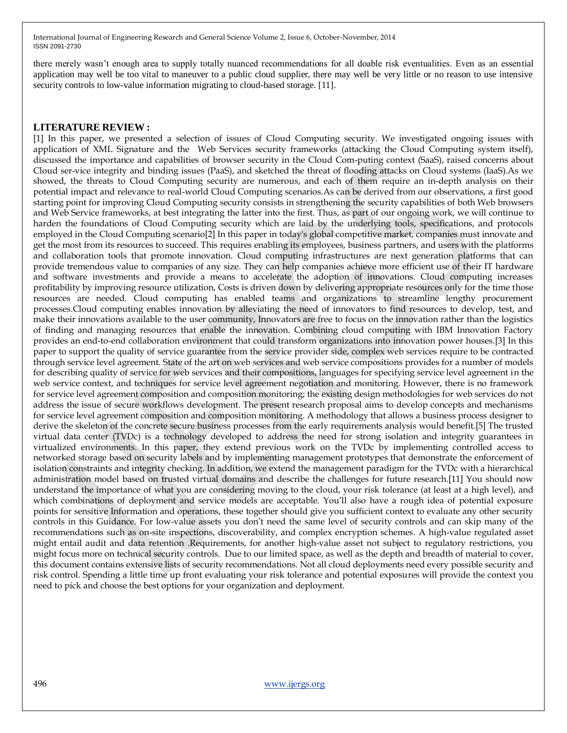there merely wasn't enough area to supply totally nuanced recommendations for all doable risk eventualities. Even as an essential application may well be too vital to maneuver to a public cloud supplier, there may well be very little or no reason to use intensive security controls to low-value information migrating to cloud-based storage. [11].

#### **LITERATURE REVIEW :**

[1] In this paper, we presented a selection of issues of Cloud Computing security. We investigated ongoing issues with application of XML Signature and the Web Services security frameworks (attacking the Cloud Computing system itself), discussed the importance and capabilities of browser security in the Cloud Com-puting context (SaaS), raised concerns about Cloud ser-vice integrity and binding issues (PaaS), and sketched the threat of flooding attacks on Cloud systems (IaaS).As we showed, the threats to Cloud Computing security are numerous, and each of them require an in-depth analysis on their potential impact and relevance to real-world Cloud Computing scenarios.As can be derived from our observations, a first good starting point for improving Cloud Computing security consists in strengthening the security capabilities of both Web browsers and Web Service frameworks, at best integrating the latter into the first. Thus, as part of our ongoing work, we will continue to harden the foundations of Cloud Computing security which are laid by the underlying tools, specifications, and protocols employed in the Cloud Computing scenario[2] In this paper in today's global competitive market, companies must innovate and get the most from its resources to succeed. This requires enabling its employees, business partners, and users with the platforms and collaboration tools that promote innovation. Cloud computing infrastructures are next generation platforms that can provide tremendous value to companies of any size. They can help companies achieve more efficient use of their IT hardware and software investments and provide a means to accelerate the adoption of innovations. Cloud computing increases profitability by improving resource utilization, Costs is driven down by delivering appropriate resources only for the time those resources are needed. Cloud computing has enabled teams and organizations to streamline lengthy procurement processes.Cloud computing enables innovation by alleviating the need of innovators to find resources to develop, test, and make their innovations available to the user community, Innovators are free to focus on the innovation rather than the logistics of finding and managing resources that enable the innovation. Combining cloud computing with IBM Innovation Factory provides an end-to-end collaboration environment that could transform organizations into innovation power houses.[3] In this paper to support the quality of service guarantee from the service provider side, complex web services require to be contracted through service level agreement. State of the art on web services and web service compositions provides for a number of models for describing quality of service for web services and their compositions, languages for specifying service level agreement in the web service context, and techniques for service level agreement negotiation and monitoring. However, there is no framework for service level agreement composition and composition monitoring; the existing design methodologies for web services do not address the issue of secure workflows development. The present research proposal aims to develop concepts and mechanisms for service level agreement composition and composition monitoring. A methodology that allows a business process designer to derive the skeleton of the concrete secure business processes from the early requirements analysis would benefit.[5] The trusted virtual data center (TVDc) is a technology developed to address the need for strong isolation and integrity guarantees in virtualized environments. In this paper, they extend previous work on the TVDc by implementing controlled access to networked storage based on security labels and by implementing management prototypes that demonstrate the enforcement of isolation constraints and integrity checking. In addition, we extend the management paradigm for the TVDc with a hierarchical administration model based on trusted virtual domains and describe the challenges for future research.[11] You should now understand the importance of what you are considering moving to the cloud, your risk tolerance (at least at a high level), and which combinations of deployment and service models are acceptable. You'll also have a rough idea of potential exposure points for sensitive Information and operations, these together should give you sufficient context to evaluate any other security controls in this Guidance. For low-value assets you don't need the same level of security controls and can skip many of the recommendations such as on-site inspections, discoverability, and complex encryption schemes. A high-value regulated asset might entail audit and data retention .Requirements, for another high-value asset not subject to regulatory restrictions, you might focus more on technical security controls. Due to our limited space, as well as the depth and breadth of material to cover, this document contains extensive lists of security recommendations. Not all cloud deployments need every possible security and risk control. Spending a little time up front evaluating your risk tolerance and potential exposures will provide the context you need to pick and choose the best options for your organization and deployment.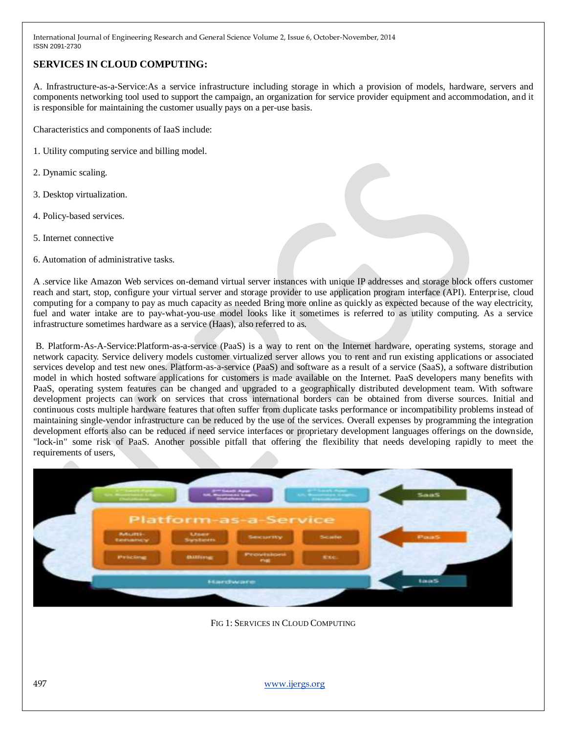# **SERVICES IN CLOUD COMPUTING:**

A. Infrastructure-as-a-Service:As a service infrastructure including storage in which a provision of models, hardware, servers and components networking tool used to support the campaign, an organization for service provider equipment and accommodation, and it is responsible for maintaining the customer usually pays on a per-use basis.

Characteristics and components of IaaS include:

- 1. Utility computing service and billing model.
- 2. Dynamic scaling.
- 3. Desktop virtualization.
- 4. Policy-based services.
- 5. Internet connective
- 6. Automation of administrative tasks.

A .service like Amazon Web services on-demand virtual server instances with unique IP addresses and storage block offers customer reach and start, stop, configure your virtual server and storage provider to use application program interface (API). Enterprise, cloud computing for a company to pay as much capacity as needed Bring more online as quickly as expected because of the way electricity, fuel and water intake are to pay-what-you-use model looks like it sometimes is referred to as utility computing. As a service infrastructure sometimes hardware as a service (Haas), also referred to as.

B. Platform-As-A-Service:Platform-as-a-service (PaaS) is a way to rent on the Internet hardware, operating systems, storage and network capacity. Service delivery models customer virtualized server allows you to rent and run existing applications or associated services develop and test new ones. Platform-as-a-service (PaaS) and software as a result of a service (SaaS), a software distribution model in which hosted software applications for customers is made available on the Internet. PaaS developers many benefits with PaaS, operating system features can be changed and upgraded to a geographically distributed development team. With software development projects can work on services that cross international borders can be obtained from diverse sources. Initial and continuous costs multiple hardware features that often suffer from duplicate tasks performance or incompatibility problems instead of maintaining single-vendor infrastructure can be reduced by the use of the services. Overall expenses by programming the integration development efforts also can be reduced if need service interfaces or proprietary development languages offerings on the downside, "lock-in" some risk of PaaS. Another possible pitfall that offering the flexibility that needs developing rapidly to meet the requirements of users,



FIG 1: SERVICES IN CLOUD COMPUTING

497 [www.ijergs.org](http://www.ijergs.org/)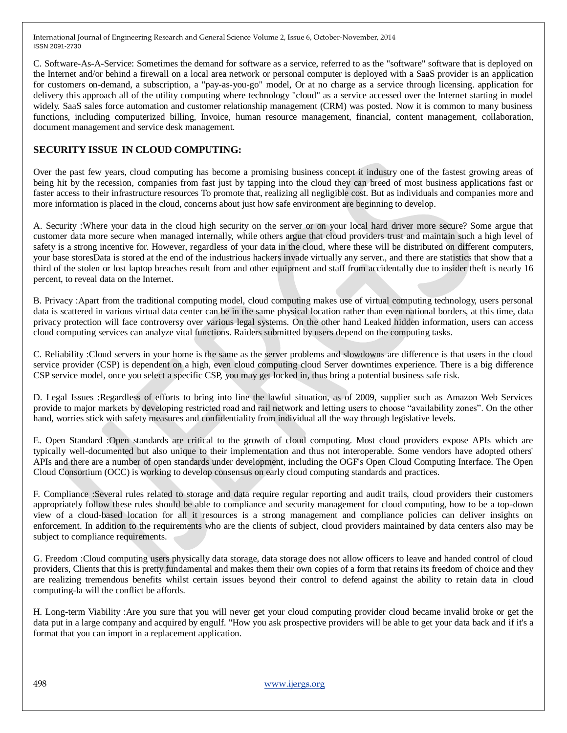C. Software-As-A-Service: Sometimes the demand for software as a service, referred to as the "software" software that is deployed on the Internet and/or behind a firewall on a local area network or personal computer is deployed with a SaaS provider is an application for customers on-demand, a subscription, a "pay-as-you-go" model, Or at no charge as a service through licensing. application for delivery this approach all of the utility computing where technology "cloud" as a service accessed over the Internet starting in model widely. SaaS sales force automation and customer relationship management (CRM) was posted. Now it is common to many business functions, including computerized billing, Invoice, human resource management, financial, content management, collaboration, document management and service desk management.

# **SECURITY ISSUE IN CLOUD COMPUTING:**

Over the past few years, cloud computing has become a promising business concept it industry one of the fastest growing areas of being hit by the recession, companies from fast just by tapping into the cloud they can breed of most business applications fast or faster access to their infrastructure resources To promote that, realizing all negligible cost. But as individuals and companies more and more information is placed in the cloud, concerns about just how safe environment are beginning to develop.

A. Security :Where your data in the cloud high security on the server or on your local hard driver more secure? Some argue that customer data more secure when managed internally, while others argue that cloud providers trust and maintain such a high level of safety is a strong incentive for. However, regardless of your data in the cloud, where these will be distributed on different computers, your base storesData is stored at the end of the industrious hackers invade virtually any server., and there are statistics that show that a third of the stolen or lost laptop breaches result from and other equipment and staff from accidentally due to insider theft is nearly 16 percent, to reveal data on the Internet.

B. Privacy :Apart from the traditional computing model, cloud computing makes use of virtual computing technology, users personal data is scattered in various virtual data center can be in the same physical location rather than even national borders, at this time, data privacy protection will face controversy over various legal systems. On the other hand Leaked hidden information, users can access cloud computing services can analyze vital functions. Raiders submitted by users depend on the computing tasks.

C. Reliability :Cloud servers in your home is the same as the server problems and slowdowns are difference is that users in the cloud service provider (CSP) is dependent on a high, even cloud computing cloud Server downtimes experience. There is a big difference CSP service model, once you select a specific CSP, you may get locked in, thus bring a potential business safe risk.

D. Legal Issues :Regardless of efforts to bring into line the lawful situation, as of 2009, supplier such as Amazon Web Services provide to major markets by developing restricted road and rail network and letting users to choose "availability zones". On the other hand, worries stick with safety measures and confidentiality from individual all the way through legislative levels.

E. Open Standard :Open standards are critical to the growth of cloud computing. Most cloud providers expose APIs which are typically well-documented but also unique to their implementation and thus not interoperable. Some vendors have adopted others' APIs and there are a number of open standards under development, including the OGF's Open Cloud Computing Interface. The Open Cloud Consortium (OCC) is working to develop consensus on early cloud computing standards and practices.

F. Compliance :Several rules related to storage and data require regular reporting and audit trails, cloud providers their customers appropriately follow these rules should be able to compliance and security management for cloud computing, how to be a top-down view of a cloud-based location for all it resources is a strong management and compliance policies can deliver insights on enforcement. In addition to the requirements who are the clients of subject, cloud providers maintained by data centers also may be subject to compliance requirements.

G. Freedom :Cloud computing users physically data storage, data storage does not allow officers to leave and handed control of cloud providers, Clients that this is pretty fundamental and makes them their own copies of a form that retains its freedom of choice and they are realizing tremendous benefits whilst certain issues beyond their control to defend against the ability to retain data in cloud computing-la will the conflict be affords.

H. Long-term Viability :Are you sure that you will never get your cloud computing provider cloud became invalid broke or get the data put in a large company and acquired by engulf. "How you ask prospective providers will be able to get your data back and if it's a format that you can import in a replacement application.

498 [www.ijergs.org](http://www.ijergs.org/)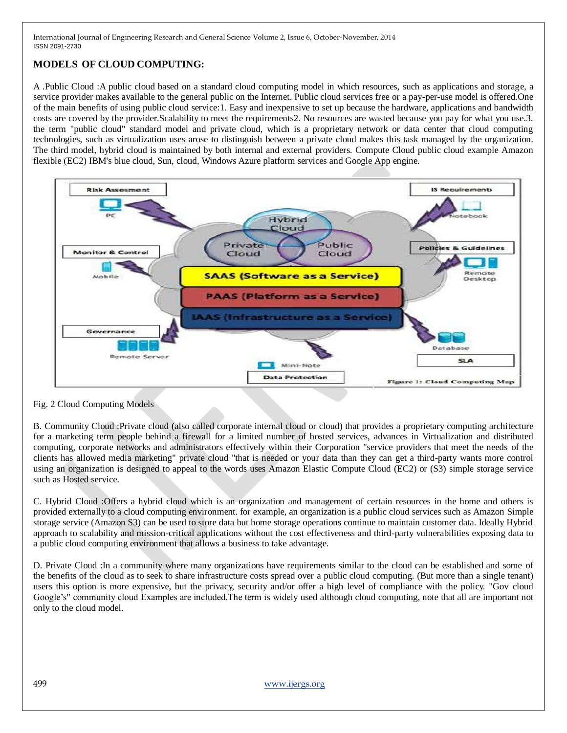# **MODELS OF CLOUD COMPUTING:**

A .Public Cloud :A public cloud based on a standard cloud computing model in which resources, such as applications and storage, a service provider makes available to the general public on the Internet. Public cloud services free or a pay-per-use model is offered.One of the main benefits of using public cloud service:1. Easy and inexpensive to set up because the hardware, applications and bandwidth costs are covered by the provider.Scalability to meet the requirements2. No resources are wasted because you pay for what you use.3. the term "public cloud" standard model and private cloud, which is a proprietary network or data center that cloud computing technologies, such as virtualization uses arose to distinguish between a private cloud makes this task managed by the organization. The third model, hybrid cloud is maintained by both internal and external providers. Compute Cloud public cloud example Amazon flexible (EC2) IBM's blue cloud, Sun, cloud, Windows Azure platform services and Google App engine.



Fig. 2 Cloud Computing Models

B. Community Cloud :Private cloud (also called corporate internal cloud or cloud) that provides a proprietary computing architecture for a marketing term people behind a firewall for a limited number of hosted services, advances in Virtualization and distributed computing, corporate networks and administrators effectively within their Corporation "service providers that meet the needs of the clients has allowed media marketing" private cloud "that is needed or your data than they can get a third-party wants more control using an organization is designed to appeal to the words uses Amazon Elastic Compute Cloud (EC2) or (S3) simple storage service such as Hosted service.

C. Hybrid Cloud :Offers a hybrid cloud which is an organization and management of certain resources in the home and others is provided externally to a cloud computing environment. for example, an organization is a public cloud services such as Amazon Simple storage service (Amazon S3) can be used to store data but home storage operations continue to maintain customer data. Ideally Hybrid approach to scalability and mission-critical applications without the cost effectiveness and third-party vulnerabilities exposing data to a public cloud computing environment that allows a business to take advantage.

D. Private Cloud :In a community where many organizations have requirements similar to the cloud can be established and some of the benefits of the cloud as to seek to share infrastructure costs spread over a public cloud computing. (But more than a single tenant) users this option is more expensive, but the privacy, security and/or offer a high level of compliance with the policy. "Gov cloud Google's" community cloud Examples are included.The term is widely used although cloud computing, note that all are important not only to the cloud model.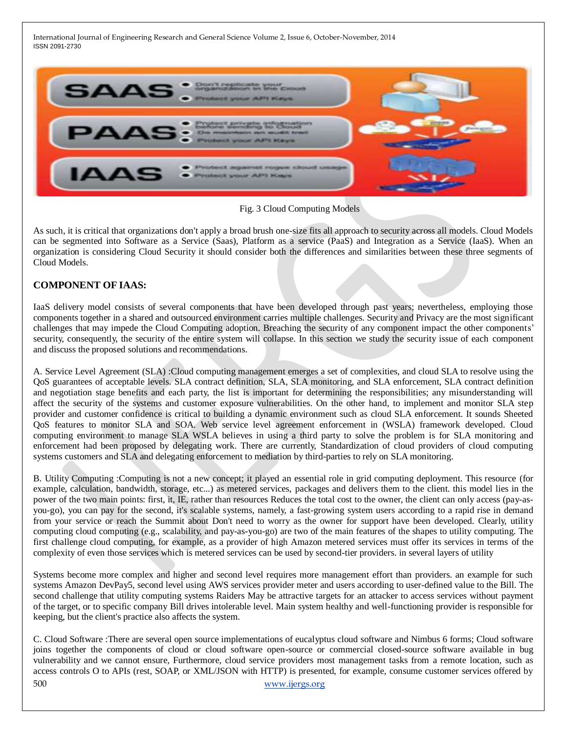

Fig. 3 Cloud Computing Models

As such, it is critical that organizations don't apply a broad brush one-size fits all approach to security across all models. Cloud Models can be segmented into Software as a Service (Saas), Platform as a service (PaaS) and Integration as a Service (IaaS). When an organization is considering Cloud Security it should consider both the differences and similarities between these three segments of Cloud Models.

## **COMPONENT OF IAAS:**

IaaS delivery model consists of several components that have been developed through past years; nevertheless, employing those components together in a shared and outsourced environment carries multiple challenges. Security and Privacy are the most significant challenges that may impede the Cloud Computing adoption. Breaching the security of any component impact the other components' security, consequently, the security of the entire system will collapse. In this section we study the security issue of each component and discuss the proposed solutions and recommendations.

A. Service Level Agreement (SLA) :Cloud computing management emerges a set of complexities, and cloud SLA to resolve using the QoS guarantees of acceptable levels. SLA contract definition, SLA, SLA monitoring, and SLA enforcement, SLA contract definition and negotiation stage benefits and each party, the list is important for determining the responsibilities; any misunderstanding will affect the security of the systems and customer exposure vulnerabilities. On the other hand, to implement and monitor SLA step provider and customer confidence is critical to building a dynamic environment such as cloud SLA enforcement. It sounds Sheeted QoS features to monitor SLA and SOA. Web service level agreement enforcement in (WSLA) framework developed. Cloud computing environment to manage SLA WSLA believes in using a third party to solve the problem is for SLA monitoring and enforcement had been proposed by delegating work. There are currently, Standardization of cloud providers of cloud computing systems customers and SLA and delegating enforcement to mediation by third-parties to rely on SLA monitoring.

B. Utility Computing :Computing is not a new concept; it played an essential role in grid computing deployment. This resource (for example, calculation, bandwidth, storage, etc...) as metered services, packages and delivers them to the client. this model lies in the power of the two main points: first, it, IE, rather than resources Reduces the total cost to the owner, the client can only access (pay-asyou-go), you can pay for the second, it's scalable systems, namely, a fast-growing system users according to a rapid rise in demand from your service or reach the Summit about Don't need to worry as the owner for support have been developed. Clearly, utility computing cloud computing (e.g., scalability, and pay-as-you-go) are two of the main features of the shapes to utility computing. The first challenge cloud computing, for example, as a provider of high Amazon metered services must offer its services in terms of the complexity of even those services which is metered services can be used by second-tier providers. in several layers of utility

Systems become more complex and higher and second level requires more management effort than providers. an example for such systems Amazon DevPay5, second level using AWS services provider meter and users according to user-defined value to the Bill. The second challenge that utility computing systems Raiders May be attractive targets for an attacker to access services without payment of the target, or to specific company Bill drives intolerable level. Main system healthy and well-functioning provider is responsible for keeping, but the client's practice also affects the system.

500 [www.ijergs.org](http://www.ijergs.org/) C. Cloud Software :There are several open source implementations of eucalyptus cloud software and Nimbus 6 forms; Cloud software joins together the components of cloud or cloud software open-source or commercial closed-source software available in bug vulnerability and we cannot ensure, Furthermore, cloud service providers most management tasks from a remote location, such as access controls O to APIs (rest, SOAP, or XML/JSON with HTTP) is presented, for example, consume customer services offered by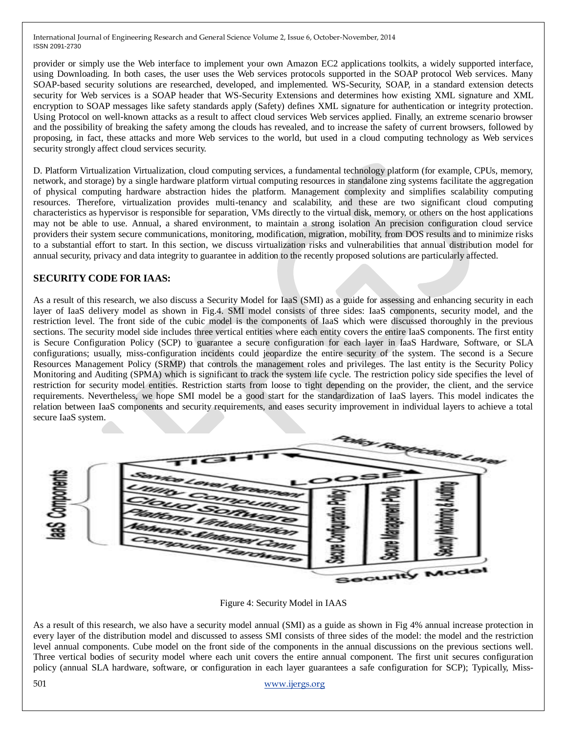provider or simply use the Web interface to implement your own Amazon EC2 applications toolkits, a widely supported interface, using Downloading. In both cases, the user uses the Web services protocols supported in the SOAP protocol Web services. Many SOAP-based security solutions are researched, developed, and implemented. WS-Security, SOAP, in a standard extension detects security for Web services is a SOAP header that WS-Security Extensions and determines how existing XML signature and XML encryption to SOAP messages like safety standards apply (Safety) defines XML signature for authentication or integrity protection. Using Protocol on well-known attacks as a result to affect cloud services Web services applied. Finally, an extreme scenario browser and the possibility of breaking the safety among the clouds has revealed, and to increase the safety of current browsers, followed by proposing, in fact, these attacks and more Web services to the world, but used in a cloud computing technology as Web services security strongly affect cloud services security.

D. Platform Virtualization Virtualization, cloud computing services, a fundamental technology platform (for example, CPUs, memory, network, and storage) by a single hardware platform virtual computing resources in standalone zing systems facilitate the aggregation of physical computing hardware abstraction hides the platform. Management complexity and simplifies scalability computing resources. Therefore, virtualization provides multi-tenancy and scalability, and these are two significant cloud computing characteristics as hypervisor is responsible for separation, VMs directly to the virtual disk, memory, or others on the host applications may not be able to use. Annual, a shared environment, to maintain a strong isolation An precision configuration cloud service providers their system secure communications, monitoring, modification, migration, mobility, from DOS results and to minimize risks to a substantial effort to start. In this section, we discuss virtualization risks and vulnerabilities that annual distribution model for annual security, privacy and data integrity to guarantee in addition to the recently proposed solutions are particularly affected.

#### **SECURITY CODE FOR IAAS:**

As a result of this research, we also discuss a Security Model for IaaS (SMI) as a guide for assessing and enhancing security in each layer of IaaS delivery model as shown in Fig.4. SMI model consists of three sides: IaaS components, security model, and the restriction level. The front side of the cubic model is the components of IaaS which were discussed thoroughly in the previous sections. The security model side includes three vertical entities where each entity covers the entire IaaS components. The first entity is Secure Configuration Policy (SCP) to guarantee a secure configuration for each layer in IaaS Hardware, Software, or SLA configurations; usually, miss-configuration incidents could jeopardize the entire security of the system. The second is a Secure Resources Management Policy (SRMP) that controls the management roles and privileges. The last entity is the Security Policy Monitoring and Auditing (SPMA) which is significant to track the system life cycle. The restriction policy side specifies the level of restriction for security model entities. Restriction starts from loose to tight depending on the provider, the client, and the service requirements. Nevertheless, we hope SMI model be a good start for the standardization of IaaS layers. This model indicates the relation between IaaS components and security requirements, and eases security improvement in individual layers to achieve a total secure IaaS system.



Figure 4: Security Model in IAAS

As a result of this research, we also have a security model annual (SMI) as a guide as shown in Fig 4% annual increase protection in every layer of the distribution model and discussed to assess SMI consists of three sides of the model: the model and the restriction level annual components. Cube model on the front side of the components in the annual discussions on the previous sections well. Three vertical bodies of security model where each unit covers the entire annual component. The first unit secures configuration policy (annual SLA hardware, software, or configuration in each layer guarantees a safe configuration for SCP); Typically, Miss-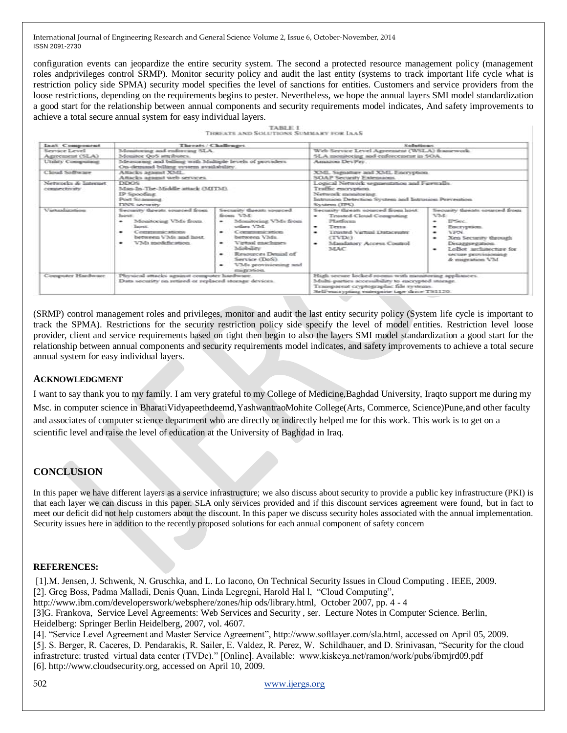configuration events can jeopardize the entire security system. The second a protected resource management policy (management roles andprivileges control SRMP). Monitor security policy and audit the last entity (systems to track important life cycle what is restriction policy side SPMA) security model specifies the level of sanctions for entities. Customers and service providers from the loose restrictions, depending on the requirements begins to pester. Nevertheless, we hope the annual layers SMI model standardization a good start for the relationship between annual components and security requirements model indicates, And safety improvements to achieve a total secure annual system for easy individual layers.

| <b>TABLE I</b>                                |  |  |  |  |  |  |  |  |  |  |
|-----------------------------------------------|--|--|--|--|--|--|--|--|--|--|
| <b>THREATS AND SOLUTIONS SUMMARY FOR LAAS</b> |  |  |  |  |  |  |  |  |  |  |

| IaaS Component                           | Threats / Challenges                                                                                                                                      |                                                                                                                                                                                                                                             | Sallestinant                                                                                                                                                                                          |                                                                                                                                                                                                                                                           |  |
|------------------------------------------|-----------------------------------------------------------------------------------------------------------------------------------------------------------|---------------------------------------------------------------------------------------------------------------------------------------------------------------------------------------------------------------------------------------------|-------------------------------------------------------------------------------------------------------------------------------------------------------------------------------------------------------|-----------------------------------------------------------------------------------------------------------------------------------------------------------------------------------------------------------------------------------------------------------|--|
| Service Level<br>Agreement (SLA)         | Monitoring and enforcing SLA.<br>Monator QoS attrabutes.                                                                                                  |                                                                                                                                                                                                                                             | Web Service Level Agreement (WSLA) framework.<br>SLA monitoring and enforcement in SOA.                                                                                                               |                                                                                                                                                                                                                                                           |  |
| Unlety Computers                         | Measuring and billing with Multiple levels of providers<br>On-demand billing system availability.                                                         |                                                                                                                                                                                                                                             | Amazon DevPay.                                                                                                                                                                                        |                                                                                                                                                                                                                                                           |  |
| Closaf Software                          | Amacks against XML.<br>Amacks against web services.                                                                                                       |                                                                                                                                                                                                                                             | XML Signature and XML Encryption.<br>SOAP Security Fatencions.                                                                                                                                        |                                                                                                                                                                                                                                                           |  |
| Networks & Internet<br>company futurity. | DEX35<br>Man-In-The-Middle attack (MITM).<br>IP Spoofung<br>Port Scanning<br>DNS security.                                                                |                                                                                                                                                                                                                                             | Logical Network segmentation and Fuewalls.<br>Traffic encryption.<br>Network monatoring.<br>Intruson Detection System and Intrusion Prevention<br>System (1953)                                       |                                                                                                                                                                                                                                                           |  |
| V permanent profitarion                  | Security threats sourced from<br>hower:<br>Monstorate VMs from<br><b>Barnett</b><br>Compressor attorney<br>between VMs and host<br>VMs modefication.<br>۰ | Security threats sourced.<br>from VM-<br>Monsterung VMs from<br>other VM.<br>Communication.<br>between VMs.<br>Vietnesi maachimee<br>Mobelshy<br>Resources Denial of<br>Service (DoS).<br>VMs provisioning and<br>۰<br>pressure and action. | Security threats sourced from host:<br><b>Trasted Cloud Computing</b><br>۰<br>25 and career<br>Terra<br>۰<br>Trusted Vertual Dataceuter<br>۰<br>(TVDc)<br>Mandatory Access Coutrol<br>۰<br><b>MAC</b> | Security threats sourced from<br><b>VM</b><br><b>IPSec.</b><br>$\overline{\phantom{a}}$<br>Eacryption.<br>$\bullet$<br><b>VEN.</b><br>۰<br>Xen Security through<br>۰<br>Desaggiegation<br>LeBet architecture for<br>secure provisioning<br>& magnation VM |  |
| Computer Hardware                        | Physical attacks against computer hardware.<br>Data security on return or replaced storage devices.                                                       |                                                                                                                                                                                                                                             | Hagh secure locked rooms with monatoring appliances.<br>Multi-parties accesuibility to encrypted storage.<br>Transparent cryptographic file systems.<br>Self-encrypting enterprise tape drive TS1120. |                                                                                                                                                                                                                                                           |  |

(SRMP) control management roles and privileges, monitor and audit the last entity security policy (System life cycle is important to track the SPMA). Restrictions for the security restriction policy side specify the level of model entities. Restriction level loose provider, client and service requirements based on tight then begin to also the layers SMI model standardization a good start for the relationship between annual components and security requirements model indicates, and safety improvements to achieve a total secure annual system for easy individual layers.

#### **ACKNOWLEDGMENT**

I want to say thank you to my family. I am very grateful to my College of Medicine,Baghdad University, Iraqto support me during my Msc. in computer science in BharatiVidyapeethdeemd,YashwantraoMohite College(Arts, Commerce, Science)Pune,and other faculty and associates of computer science department who are directly or indirectly helped me for this work. This work is to get on a scientific level and raise the level of education at the University of Baghdad in Iraq.

## **CONCLUSION**

In this paper we have different layers as a service infrastructure; we also discuss about security to provide a public key infrastructure (PKI) is that each layer we can discuss in this paper. SLA only services provided and if this discount services agreement were found, but in fact to meet our deficit did not help customers about the discount. In this paper we discuss security holes associated with the annual implementation. Security issues here in addition to the recently proposed solutions for each annual component of safety concern

#### **REFERENCES:**

[1].M. Jensen, J. Schwenk, N. Gruschka, and L. Lo Iacono, On Technical Security Issues in Cloud Computing . IEEE, 2009. [2]. Greg Boss, Padma Malladi, Denis Quan, Linda Legregni, Harold Hal l, "Cloud Computing", http://www.ibm.com/developerswork/websphere/zones/hip ods/library.html, October 2007, pp. 4 - 4 [3]G. Frankova, Service Level Agreements: Web Services and Security , ser. Lecture Notes in Computer Science. Berlin, Heidelberg: Springer Berlin Heidelberg, 2007, vol. 4607.

[4]. "Service Level Agreement and Master Service Agreement", http://www.softlayer.com/sla.html, accessed on April 05, 2009. [5]. S. Berger, R. Caceres, D. Pendarakis, R. Sailer, E. Valdez, R. Perez, W. Schildhauer, and D. Srinivasan, "Security for the cloud infrastrcture: trusted virtual data center (TVDc)." [Online]. Available: www.kiskeya.net/ramon/work/pubs/ibmjrd09.pdf [6]. http://www.cloudsecurity.org, accessed on April 10, 2009.

502 [www.ijergs.org](http://www.ijergs.org/)